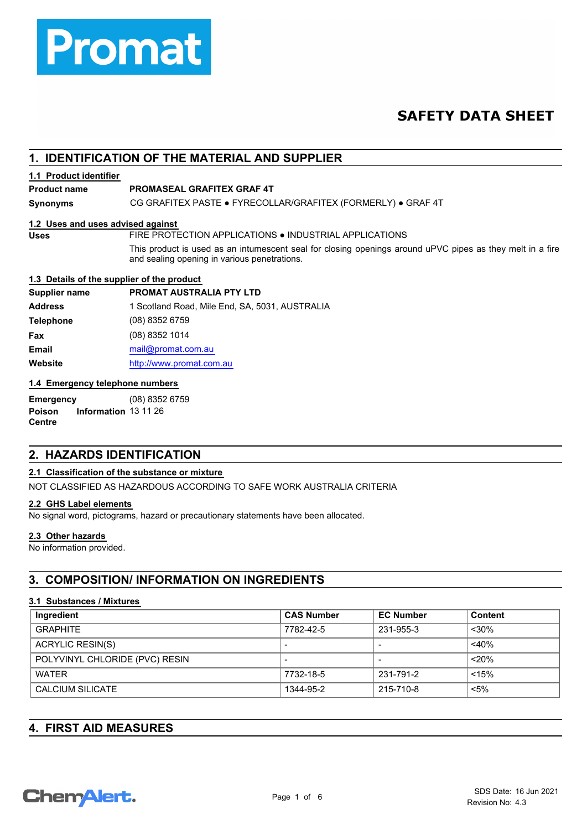

## **SAFETY DATA SHEET**

### **1. IDENTIFICATION OF THE MATERIAL AND SUPPLIER**

#### **1.1 Product identifier**

### **Product name PROMASEAL GRAFITEX GRAF 4T**

**Synonyms** CG GRAFITEX PASTE ● FYRECOLLAR/GRAFITEX (FORMERLY) ● GRAF 4T

#### **1.2 Uses and uses advised against**

**Uses** FIRE PROTECTION APPLICATIONS ● INDUSTRIAL APPLICATIONS

This product is used as an intumescent seal for closing openings around uPVC pipes as they melt in a fire and sealing opening in various penetrations.

#### **1.3 Details of the supplier of the product**

| <b>PROMAT AUSTRALIA PTY LTD</b>                |
|------------------------------------------------|
| 1 Scotland Road, Mile End, SA, 5031, AUSTRALIA |
| (08) 8352 6759                                 |
| $(08)$ 8352 1014                               |
| mail@promat.com.au                             |
| http://www.promat.com.au                       |
|                                                |

#### **1.4 Emergency telephone numbers**

**Emergency** (08) 8352 6759 **Poison Information** 13 11 26 **Centre**

### **2. HAZARDS IDENTIFICATION**

#### **2.1 Classification of the substance or mixture**

NOT CLASSIFIED AS HAZARDOUS ACCORDING TO SAFE WORK AUSTRALIA CRITERIA

#### **2.2 GHS Label elements**

No signal word, pictograms, hazard or precautionary statements have been allocated.

#### **2.3 Other hazards**

No information provided.

### **3. COMPOSITION/ INFORMATION ON INGREDIENTS**

#### **3.1 Substances / Mixtures**

| Ingredient                     | <b>CAS Number</b> | <b>EC Number</b> | Content |
|--------------------------------|-------------------|------------------|---------|
| <b>GRAPHITE</b>                | 7782-42-5         | 231-955-3        | $30%$   |
| <b>ACRYLIC RESIN(S)</b>        |                   |                  | $<$ 40% |
| POLYVINYL CHLORIDE (PVC) RESIN | $\blacksquare$    | -                | $20\%$  |
| <b>WATER</b>                   | 7732-18-5         | 231-791-2        | < 15%   |
| <b>CALCIUM SILICATE</b>        | 1344-95-2         | 215-710-8        | $< 5\%$ |

### **4. FIRST AID MEASURES**

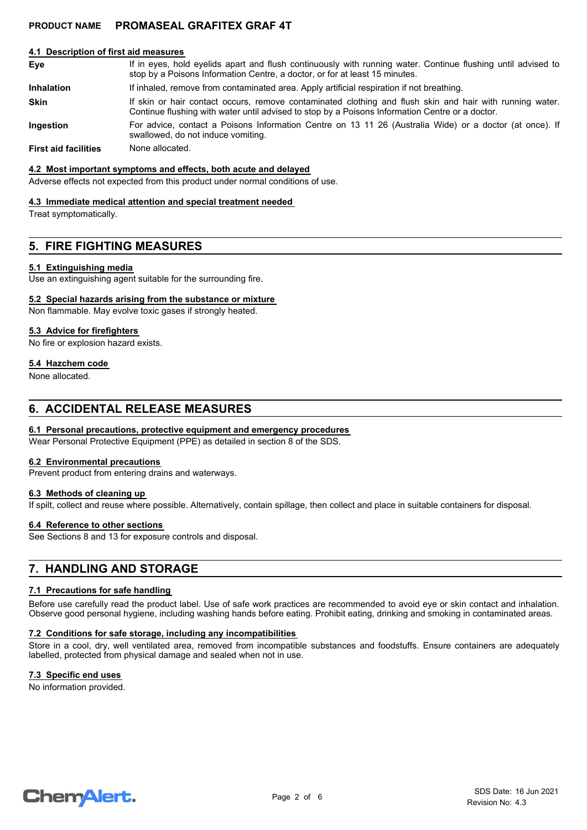#### **4.1 Description of first aid measures**

- If in eyes, hold eyelids apart and flush continuously with running water. Continue flushing until advised to stop by a Poisons Information Centre, a doctor, or for at least 15 minutes. **Eye Inhalation** If inhaled, remove from contaminated area. Apply artificial respiration if not breathing. If skin or hair contact occurs, remove contaminated clothing and flush skin and hair with running water. Continue flushing with water until advised to stop by a Poisons Information Centre or a doctor. **Skin**
- For advice, contact a Poisons Information Centre on 13 11 26 (Australia Wide) or a doctor (at once). If swallowed, do not induce vomiting. **Ingestion**

**First aid facilities** None allocated.

#### **4.2 Most important symptoms and effects, both acute and delayed**

Adverse effects not expected from this product under normal conditions of use.

#### **4.3 Immediate medical attention and special treatment needed**

Treat symptomatically.

### **5. FIRE FIGHTING MEASURES**

#### **5.1 Extinguishing media**

Use an extinguishing agent suitable for the surrounding fire.

#### **5.2 Special hazards arising from the substance or mixture**

Non flammable. May evolve toxic gases if strongly heated.

#### **5.3 Advice for firefighters**

No fire or explosion hazard exists.

#### **5.4 Hazchem code**

None allocated.

### **6. ACCIDENTAL RELEASE MEASURES**

#### **6.1 Personal precautions, protective equipment and emergency procedures**

Wear Personal Protective Equipment (PPE) as detailed in section 8 of the SDS.

#### **6.2 Environmental precautions**

Prevent product from entering drains and waterways.

#### **6.3 Methods of cleaning up**

If spilt, collect and reuse where possible. Alternatively, contain spillage, then collect and place in suitable containers for disposal.

#### **6.4 Reference to other sections**

See Sections 8 and 13 for exposure controls and disposal.

### **7. HANDLING AND STORAGE**

#### **7.1 Precautions for safe handling**

Before use carefully read the product label. Use of safe work practices are recommended to avoid eye or skin contact and inhalation. Observe good personal hygiene, including washing hands before eating. Prohibit eating, drinking and smoking in contaminated areas.

#### **7.2 Conditions for safe storage, including any incompatibilities**

Store in a cool, dry, well ventilated area, removed from incompatible substances and foodstuffs. Ensure containers are adequately labelled, protected from physical damage and sealed when not in use.

#### **7.3 Specific end uses**

No information provided.

# **ChemAlert.**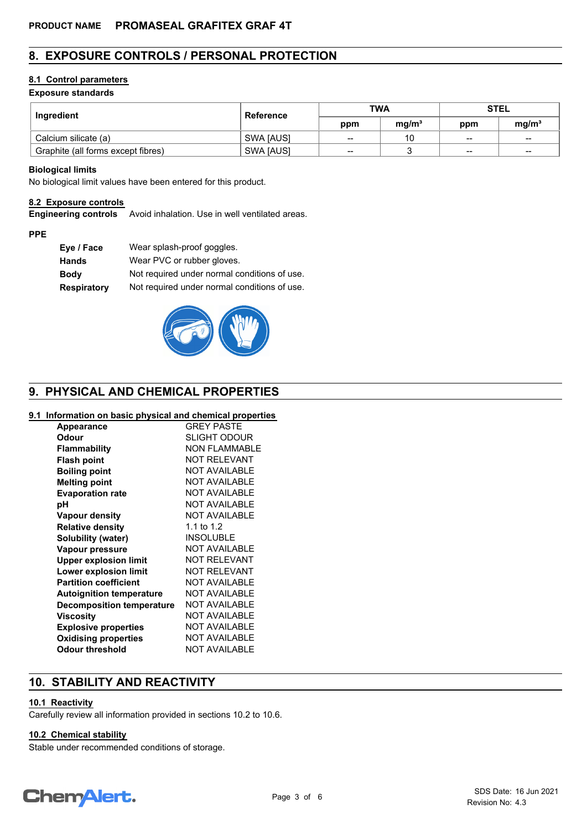### **8. EXPOSURE CONTROLS / PERSONAL PROTECTION**

#### **8.1 Control parameters**

### **Exposure standards**

| Ingredient                         | <b>Reference</b> | <b>TWA</b> |                   | <b>STEL</b>              |                   |
|------------------------------------|------------------|------------|-------------------|--------------------------|-------------------|
|                                    |                  | ppm        | mq/m <sup>3</sup> | ppm                      | mq/m <sup>3</sup> |
| Calcium silicate (a)               | SWA [AUS]        | $-$        | 10                | $\sim$                   | $\qquad \qquad$   |
| Graphite (all forms except fibres) | SWA [AUS]        | $-$        |                   | $\overline{\phantom{a}}$ | $-$               |

#### **Biological limits**

No biological limit values have been entered for this product.

#### **8.2 Exposure controls**

**Engineering controls** Avoid inhalation. Use in well ventilated areas.

#### **PPE**

| Wear splash-proof goggles.                   |
|----------------------------------------------|
| Wear PVC or rubber gloves.                   |
| Not required under normal conditions of use. |
| Not required under normal conditions of use. |
|                                              |



### **9. PHYSICAL AND CHEMICAL PROPERTIES**

#### **9.1 Information on basic physical and chemical properties**

| <b>Appearance</b>                | <b>GREY PASTF</b>    |
|----------------------------------|----------------------|
| Odour                            | <b>SLIGHT ODOUR</b>  |
| <b>Flammability</b>              | NON FLAMMABLE        |
| <b>Flash point</b>               | NOT RELEVANT         |
| <b>Boiling point</b>             | NOT AVAILABLE        |
| <b>Melting point</b>             | <b>NOT AVAILABLE</b> |
| <b>Evaporation rate</b>          | NOT AVAILABLE        |
| рH                               | <b>NOT AVAILABLE</b> |
| <b>Vapour density</b>            | NOT AVAILABLE        |
| <b>Relative density</b>          | 1.1 to 1.2           |
| Solubility (water)               | <b>INSOLUBLE</b>     |
| Vapour pressure                  | NOT AVAILABLE        |
| <b>Upper explosion limit</b>     | NOT RELEVANT         |
| Lower explosion limit            | <b>NOT RELEVANT</b>  |
| <b>Partition coefficient</b>     | NOT AVAILABLE        |
| <b>Autoignition temperature</b>  | NOT AVAILABLE        |
| <b>Decomposition temperature</b> | NOT AVAILABLE        |
| Viscosity                        | NOT AVAILABLE        |
| <b>Explosive properties</b>      | NOT AVAILABLE        |
| <b>Oxidising properties</b>      | NOT AVAILABLE        |
| <b>Odour threshold</b>           | NOT AVAILABLE        |
|                                  |                      |

### **10. STABILITY AND REACTIVITY**

#### **10.1 Reactivity**

Carefully review all information provided in sections 10.2 to 10.6.

### **10.2 Chemical stability**

Stable under recommended conditions of storage.

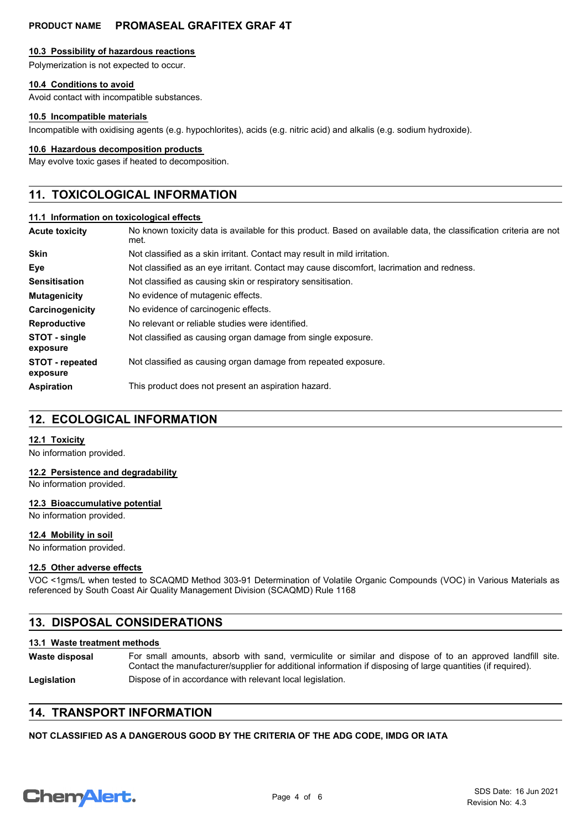#### **10.3 Possibility of hazardous reactions**

Polymerization is not expected to occur.

#### **10.4 Conditions to avoid**

Avoid contact with incompatible substances.

#### **10.5 Incompatible materials**

Incompatible with oxidising agents (e.g. hypochlorites), acids (e.g. nitric acid) and alkalis (e.g. sodium hydroxide).

#### **10.6 Hazardous decomposition products**

May evolve toxic gases if heated to decomposition.

### **11. TOXICOLOGICAL INFORMATION**

#### **11.1 Information on toxicological effects**

| Acute toxicity                     | No known toxicity data is available for this product. Based on available data, the classification criteria are not<br>met. |
|------------------------------------|----------------------------------------------------------------------------------------------------------------------------|
| Skin                               | Not classified as a skin irritant. Contact may result in mild irritation.                                                  |
| Eye                                | Not classified as an eye irritant. Contact may cause discomfort, lacrimation and redness.                                  |
| Sensitisation                      | Not classified as causing skin or respiratory sensitisation.                                                               |
| <b>Mutagenicity</b>                | No evidence of mutagenic effects.                                                                                          |
| Carcinogenicity                    | No evidence of carcinogenic effects.                                                                                       |
| Reproductive                       | No relevant or reliable studies were identified.                                                                           |
| STOT - single<br>exposure          | Not classified as causing organ damage from single exposure.                                                               |
| <b>STOT - repeated</b><br>exposure | Not classified as causing organ damage from repeated exposure.                                                             |
| Aspiration                         | This product does not present an aspiration hazard.                                                                        |

### **12. ECOLOGICAL INFORMATION**

#### **12.1 Toxicity**

No information provided.

#### **12.2 Persistence and degradability**

No information provided.

#### **12.3 Bioaccumulative potential**

No information provided.

#### **12.4 Mobility in soil**

No information provided.

#### **12.5 Other adverse effects**

VOC <1gms/L when tested to SCAQMD Method 303-91 Determination of Volatile Organic Compounds (VOC) in Various Materials as referenced by South Coast Air Quality Management Division (SCAQMD) Rule 1168

### **13. DISPOSAL CONSIDERATIONS**

### **13.1 Waste treatment methods**

**Waste disposal**

For small amounts, absorb with sand, vermiculite or similar and dispose of to an approved landfill site. Contact the manufacturer/supplier for additional information if disposing of large quantities (if required).

Legislation **Dispose of in accordance with relevant local legislation.** 

### **14. TRANSPORT INFORMATION**

#### **NOT CLASSIFIED AS A DANGEROUS GOOD BY THE CRITERIA OF THE ADG CODE, IMDG OR IATA**

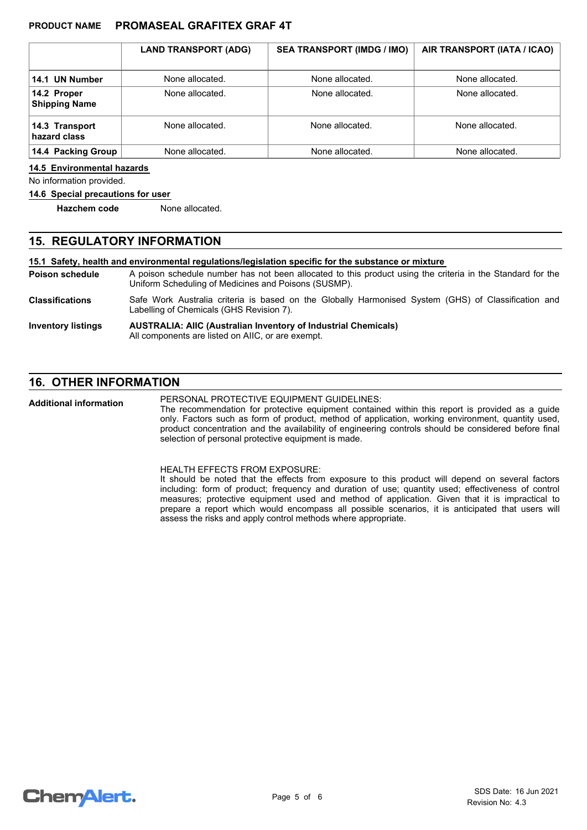|                                     | <b>LAND TRANSPORT (ADG)</b> | <b>SEA TRANSPORT (IMDG / IMO)</b> | AIR TRANSPORT (IATA / ICAO) |
|-------------------------------------|-----------------------------|-----------------------------------|-----------------------------|
| 14.1 UN Number                      | None allocated.             | None allocated.                   | None allocated.             |
| 14.2 Proper<br><b>Shipping Name</b> | None allocated.             | None allocated.                   | None allocated.             |
| 14.3 Transport<br>hazard class      | None allocated.             | None allocated.                   | None allocated.             |
| 14.4 Packing Group                  | None allocated.             | None allocated.                   | None allocated.             |

#### **14.5 Environmental hazards**

No information provided.

#### **14.6 Special precautions for user**

**Hazchem code** None allocated.

#### **15. REGULATORY INFORMATION**

**15.1 Safety, health and environmental regulations/legislation specific for the substance or mixture**

A poison schedule number has not been allocated to this product using the criteria in the Standard for the Uniform Scheduling of Medicines and Poisons (SUSMP). **Poison schedule**

Safe Work Australia criteria is based on the Globally Harmonised System (GHS) of Classification and Labelling of Chemicals (GHS Revision 7). **Classifications**

#### **AUSTRALIA: AIIC (Australian Inventory of Industrial Chemicals)** All components are listed on AIIC, or are exempt. **Inventory listings**

### **16. OTHER INFORMATION**

PERSONAL PROTECTIVE EQUIPMENT GUIDELINES: **Additional information**

The recommendation for protective equipment contained within this report is provided as a guide only. Factors such as form of product, method of application, working environment, quantity used, product concentration and the availability of engineering controls should be considered before final selection of personal protective equipment is made.

HEALTH EFFECTS FROM EXPOSURE:

It should be noted that the effects from exposure to this product will depend on several factors including: form of product; frequency and duration of use; quantity used; effectiveness of control measures; protective equipment used and method of application. Given that it is impractical to prepare a report which would encompass all possible scenarios, it is anticipated that users will assess the risks and apply control methods where appropriate.